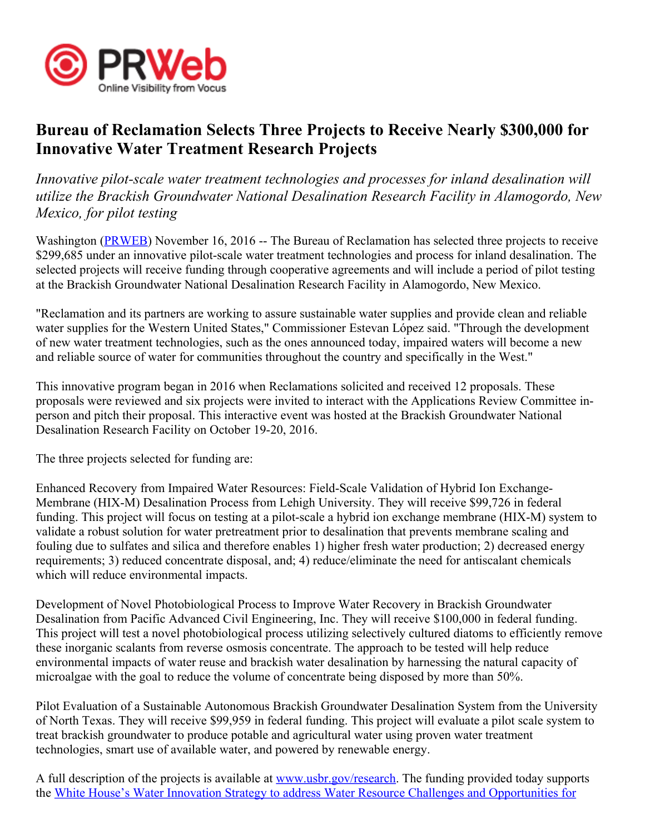

## Bureau of Reclamation Selects Three Projects to Receive Nearly \$300,000 for Innovative Water Treatment Research Projects

Innovative pilot-scale water treatment technologies and processes for inland desalination will utilize the Brackish Groundwater National Desalination Research Facility in Alamogordo, New Mexico, for pilot testing

Washington (PRWEB) November 16, 2016 -- The Bureau of Reclamation has selected three projects to receive \$299,685 under an innovative pilot-scale water treatment technologies and process for inland desalination. The selected projects will receive funding through cooperative agreements and will include a period of pilot testing at the Brackish Groundwater National Desalination Research Facility in Alamogordo, New Mexico.

"Reclamation and its partners are working to assure sustainable water supplies and provide clean and reliable water supplies for the Western United States, " Commissioner Estevan López said. "Through the development of new water treatment technologies, such as the ones announced today, impaired waters will become a new and reliable source of water for communities throughout the country and specifically in the West."

This innovative program began in 2016 when Reclamations solicited and received 12 proposals. These proposals were reviewed and six projects were invited to interact with the Applications Review Committee inperson and pitch their proposal. This interactive event was hosted at the Brackish Groundwater National Desalination Research Facility on October 19-20, 2016.

The three projects selected for funding are:

Enhanced Recovery from Impaired Water Resources: Field-Scale Validation of Hybrid Ion Exchange-Membrane (HIX-M) Desalination Process from Lehigh University. They will receive \$99,726 in federal funding. This project will focus on testing at a pilot-scale a hybrid ion exchange membrane (HIX-M) system to validate a robust solution for water pretreatment prior to desalination that prevents membrane scaling and fouling due to sulfates and silica and therefore enables 1) higher fresh water production; 2) decreased energy requirements; 3) reduced concentrate disposal, and; 4) reduce/eliminate the need for antiscalant chemicals which will reduce environmental impacts.

Development of Novel Photobiological Process to Improve Water Recovery in Brackish Groundwater Desalination from Pacific Advanced Civil Engineering, Inc. They will receive \$100,000 in federal funding. This project will test a novel photobiological process utilizing selectively cultured diatoms to efficiently remove these inorganic scalants from reverse osmosis concentrate. The approach to be tested will help reduce environmental impacts of water reuse and brackish water desalination by harnessing the natural capacity of microalgae with the goal to reduce the volume of concentrate being disposed by more than 50%.

Pilot Evaluation of a Sustainable Autonomous Brackish Groundwater Desalination System from the University of North Texas. They will receive \$99,959 in federal funding. This project will evaluate a pilot scale system to treat brackish groundwater to produce potable and agricultural water using proven water treatment technologies, smart use of available water, and powered by renewable energy.

A full description of the projects is available at www.usbr.gov/research. The funding provided today supports the White House's Water Innovation Strategy to address Water Resource Challenges and Opportunities for